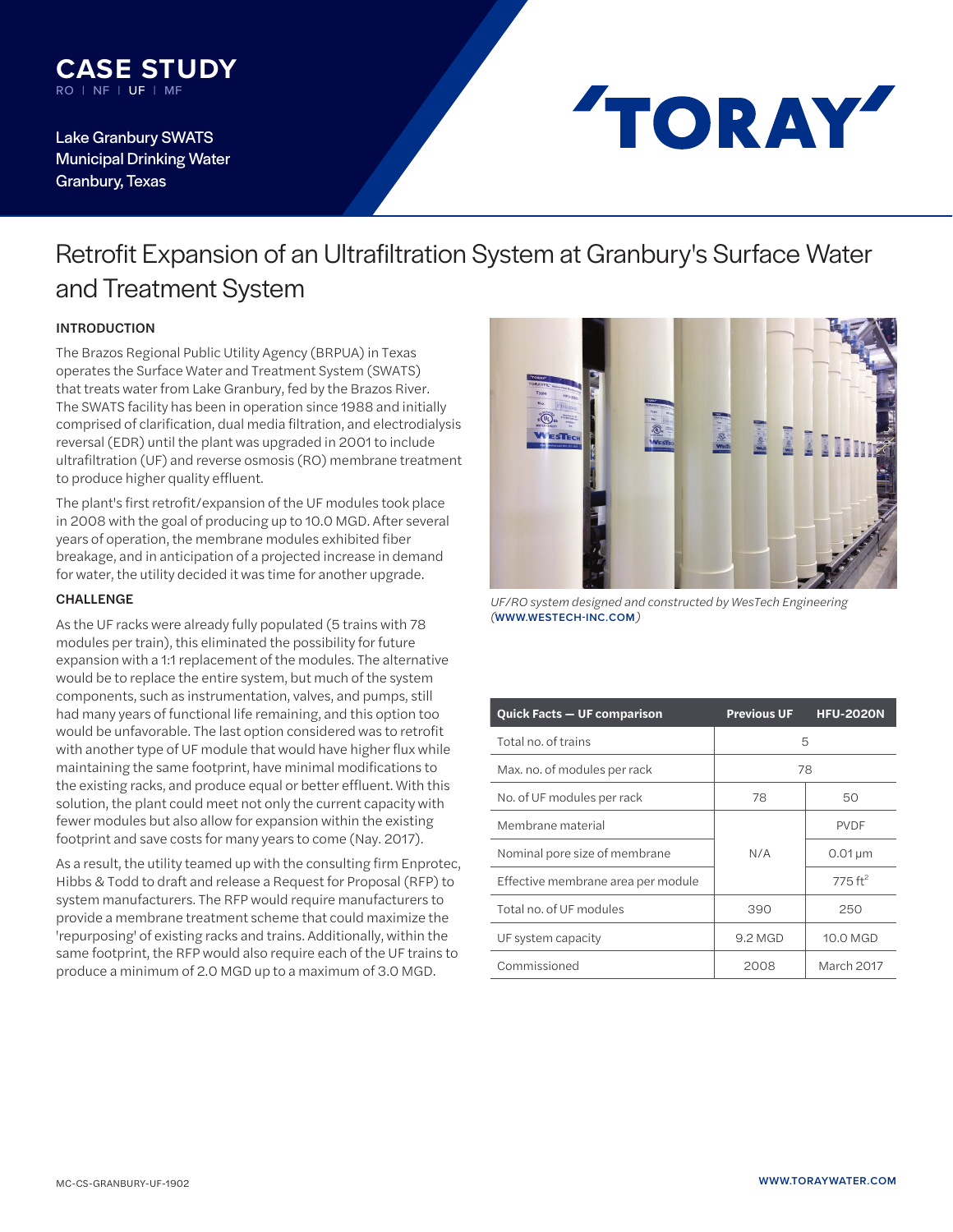

Lake Granbury SWATS Municipal Drinking Water Granbury, Texas

# TORAY

## Retrofit Expansion of an Ultrafiltration System at Granbury's Surface Water and Treatment System

### INTRODUCTION

*The Brazos Regional Public Utility Agency (BRPUA) in Texas operates the Surface Water and Treatment System (SWATS) that treats water from Lake Granbury, fed by the Brazos River. The SWATS facility has been in operation since 1988 and initially comprised of clarification, dual media filtration, and electrodialysis reversal (EDR) until the plant was upgraded in 2001 to include ultrafiltration (UF) and reverse osmosis (RO) membrane treatment to produce higher quality effluent.* 

*The plant's first retrofit/expansion of the UF modules took place in 2008 with the goal of producing up to 10.0 MGD. After several years of operation, the membrane modules exhibited fiber breakage, and in anticipation of a projected increase in demand for water, the utility decided it was time for another upgrade.*

#### CHALLENGE

*As the UF racks were already fully populated (5 trains with 78 modules per train), this eliminated the possibility for future expansion with a 1:1 replacement of the modules. The alternative would be to replace the entire system, but much of the system components, such as instrumentation, valves, and pumps, still had many years of functional life remaining, and this option too would be unfavorable. The last option considered was to retrofit with another type of UF module that would have higher flux while maintaining the same footprint, have minimal modifications to the existing racks, and produce equal or better effluent. With this solution, the plant could meet not only the current capacity with fewer modules but also allow for expansion within the existing footprint and save costs for many years to come (Nay. 2017).* 

*As a result, the utility teamed up with the consulting firm Enprotec, Hibbs & Todd to draft and release a Request for Proposal (RFP) to system manufacturers. The RFP would require manufacturers to provide a membrane treatment scheme that could maximize the 'repurposing' of existing racks and trains. Additionally, within the same footprint, the RFP would also require each of the UF trains to produce a minimum of 2.0 MGD up to a maximum of 3.0 MGD.*



*UF/RO system designed and constructed by WesTech Engineering (***[WWW.WESTECH-INC.COM](http://www.westech-inc.com/)***)*

| <b>Quick Facts - UF comparison</b> | <b>Previous UF</b> | <b>HFU-2020N</b>        |
|------------------------------------|--------------------|-------------------------|
| Total no, of trains                | 5                  |                         |
| Max. no. of modules per rack       | 78                 |                         |
| No. of UF modules per rack         | 78                 | 50                      |
| Membrane material                  | N/A                | <b>PVDF</b>             |
| Nominal pore size of membrane      |                    | $0.01 \,\mathrm{\mu m}$ |
| Effective membrane area per module |                    | 775 $ft^2$              |
| Total no. of UF modules            | 390                | 250                     |
| UF system capacity                 | 9.2 MGD            | 10.0 MGD                |
| Commissioned                       | 2008               | March 2017              |